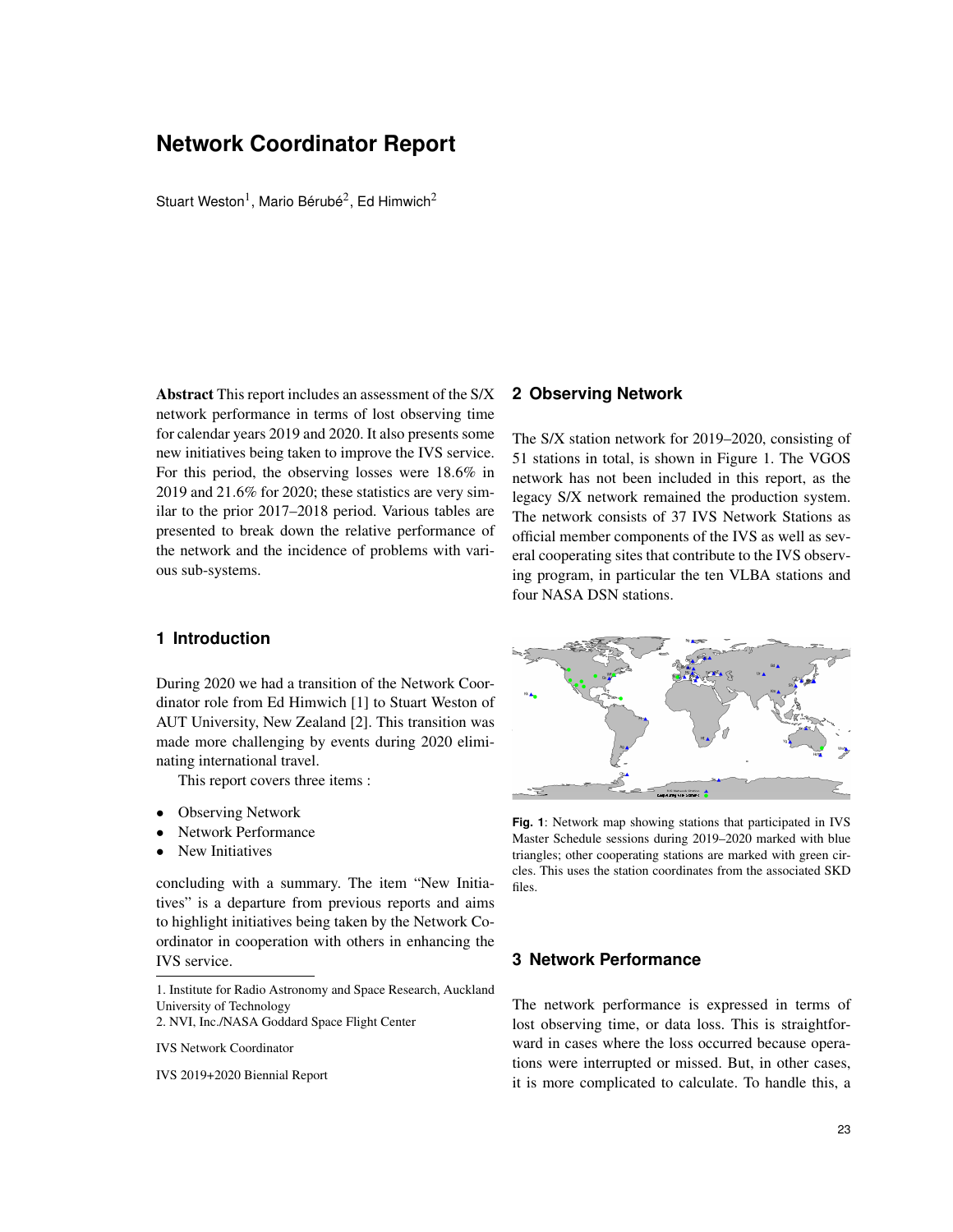# **Network Coordinator Report**

Stuart Weston<sup>1</sup>, Mario Bérubé<sup>2</sup>, Ed Himwich<sup>2</sup>

Abstract This report includes an assessment of the S/X network performance in terms of lost observing time for calendar years 2019 and 2020. It also presents some new initiatives being taken to improve the IVS service. For this period, the observing losses were 18.6% in 2019 and 21.6% for 2020; these statistics are very similar to the prior 2017–2018 period. Various tables are presented to break down the relative performance of the network and the incidence of problems with various sub-systems.

### **1 Introduction**

During 2020 we had a transition of the Network Coordinator role from Ed Himwich [1] to Stuart Weston of AUT University, New Zealand [2]. This transition was made more challenging by events during 2020 eliminating international travel.

This report covers three items :

- Observing Network
- Network Performance
- New Initiatives

concluding with a summary. The item "New Initiatives" is a departure from previous reports and aims to highlight initiatives being taken by the Network Coordinator in cooperation with others in enhancing the IVS service.

1. Institute for Radio Astronomy and Space Research, Auckland University of Technology

2. NVI, Inc./NASA Goddard Space Flight Center

IVS Network Coordinator

IVS 2019+2020 Biennial Report

## **2 Observing Network**

The S/X station network for 2019–2020, consisting of 51 stations in total, is shown in Figure 1. The VGOS network has not been included in this report, as the legacy S/X network remained the production system. The network consists of 37 IVS Network Stations as official member components of the IVS as well as several cooperating sites that contribute to the IVS observing program, in particular the ten VLBA stations and four NASA DSN stations.



**Fig. 1**: Network map showing stations that participated in IVS Master Schedule sessions during 2019–2020 marked with blue triangles; other cooperating stations are marked with green circles. This uses the station coordinates from the associated SKD files.

#### **3 Network Performance**

The network performance is expressed in terms of lost observing time, or data loss. This is straightforward in cases where the loss occurred because operations were interrupted or missed. But, in other cases, it is more complicated to calculate. To handle this, a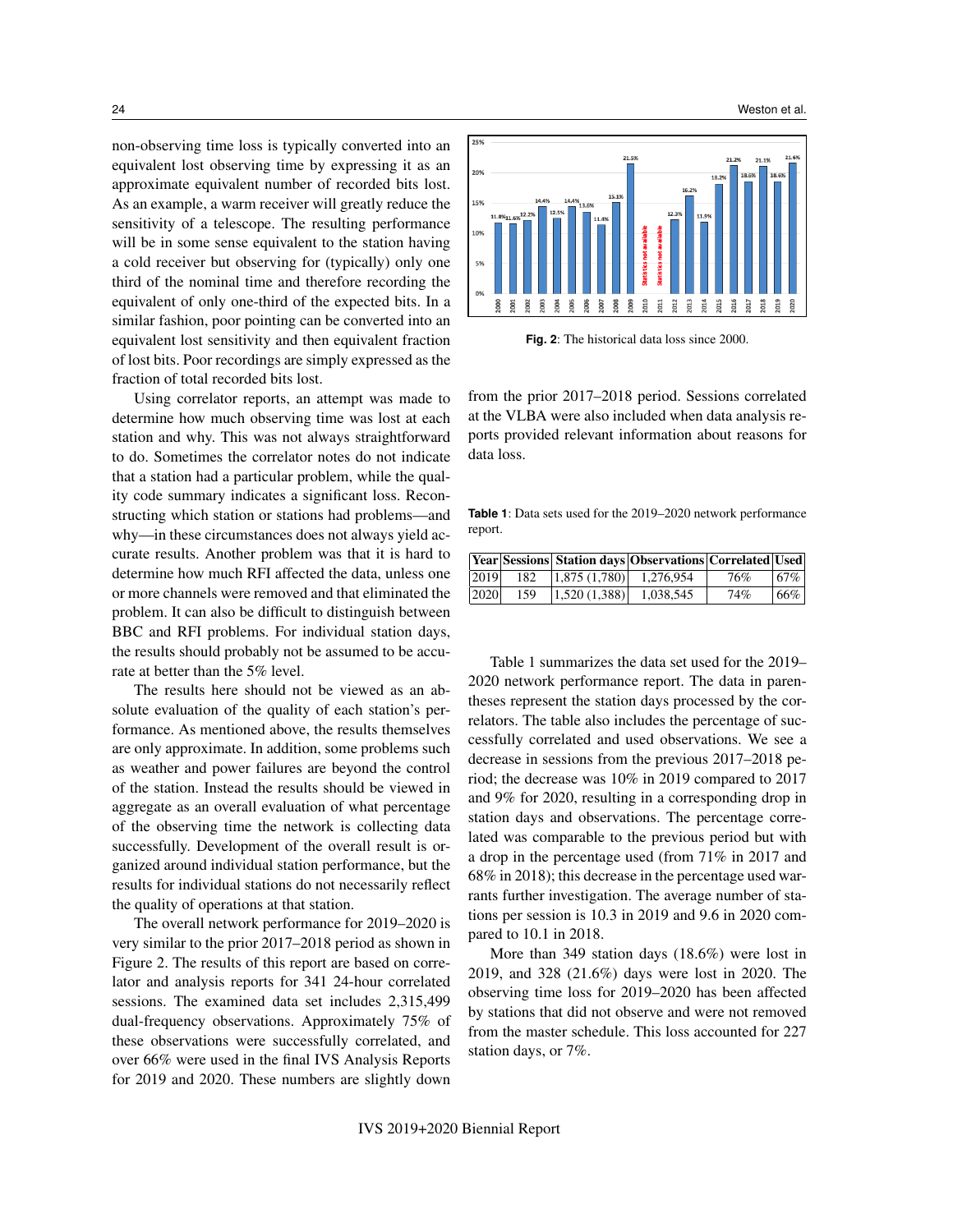non-observing time loss is typically converted into an equivalent lost observing time by expressing it as an approximate equivalent number of recorded bits lost. As an example, a warm receiver will greatly reduce the sensitivity of a telescope. The resulting performance will be in some sense equivalent to the station having a cold receiver but observing for (typically) only one third of the nominal time and therefore recording the equivalent of only one-third of the expected bits. In a similar fashion, poor pointing can be converted into an equivalent lost sensitivity and then equivalent fraction of lost bits. Poor recordings are simply expressed as the fraction of total recorded bits lost.

Using correlator reports, an attempt was made to determine how much observing time was lost at each station and why. This was not always straightforward to do. Sometimes the correlator notes do not indicate that a station had a particular problem, while the quality code summary indicates a significant loss. Reconstructing which station or stations had problems—and why—in these circumstances does not always yield accurate results. Another problem was that it is hard to determine how much RFI affected the data, unless one or more channels were removed and that eliminated the problem. It can also be difficult to distinguish between BBC and RFI problems. For individual station days, the results should probably not be assumed to be accurate at better than the 5% level.

The results here should not be viewed as an absolute evaluation of the quality of each station's performance. As mentioned above, the results themselves are only approximate. In addition, some problems such as weather and power failures are beyond the control of the station. Instead the results should be viewed in aggregate as an overall evaluation of what percentage of the observing time the network is collecting data successfully. Development of the overall result is organized around individual station performance, but the results for individual stations do not necessarily reflect the quality of operations at that station.

The overall network performance for 2019–2020 is very similar to the prior 2017–2018 period as shown in Figure 2. The results of this report are based on correlator and analysis reports for 341 24-hour correlated sessions. The examined data set includes 2,315,499 dual-frequency observations. Approximately 75% of these observations were successfully correlated, and over 66% were used in the final IVS Analysis Reports for 2019 and 2020. These numbers are slightly down





**Fig. 2**: The historical data loss since 2000.

from the prior 2017–2018 period. Sessions correlated at the VLBA were also included when data analysis reports provided relevant information about reasons for data loss.

**Table 1**: Data sets used for the 2019–2020 network performance report.

|      |     |                            | Year Sessions  Station days Observations Correlated Used |     |          |
|------|-----|----------------------------|----------------------------------------------------------|-----|----------|
| 2019 | 182 | $ 1,875(1,780) $ 1,276,954 |                                                          | 76% | $ 67\% $ |
| 2020 | 159 | 1,520(1,388)               | 1,038,545                                                | 74% | 66%      |

Table 1 summarizes the data set used for the 2019– 2020 network performance report. The data in parentheses represent the station days processed by the correlators. The table also includes the percentage of successfully correlated and used observations. We see a decrease in sessions from the previous 2017–2018 period; the decrease was 10% in 2019 compared to 2017 and 9% for 2020, resulting in a corresponding drop in station days and observations. The percentage correlated was comparable to the previous period but with a drop in the percentage used (from 71% in 2017 and 68% in 2018); this decrease in the percentage used warrants further investigation. The average number of stations per session is 10.3 in 2019 and 9.6 in 2020 compared to 10.1 in 2018.

More than 349 station days (18.6%) were lost in 2019, and 328 (21.6%) days were lost in 2020. The observing time loss for 2019–2020 has been affected by stations that did not observe and were not removed from the master schedule. This loss accounted for 227 station days, or 7%.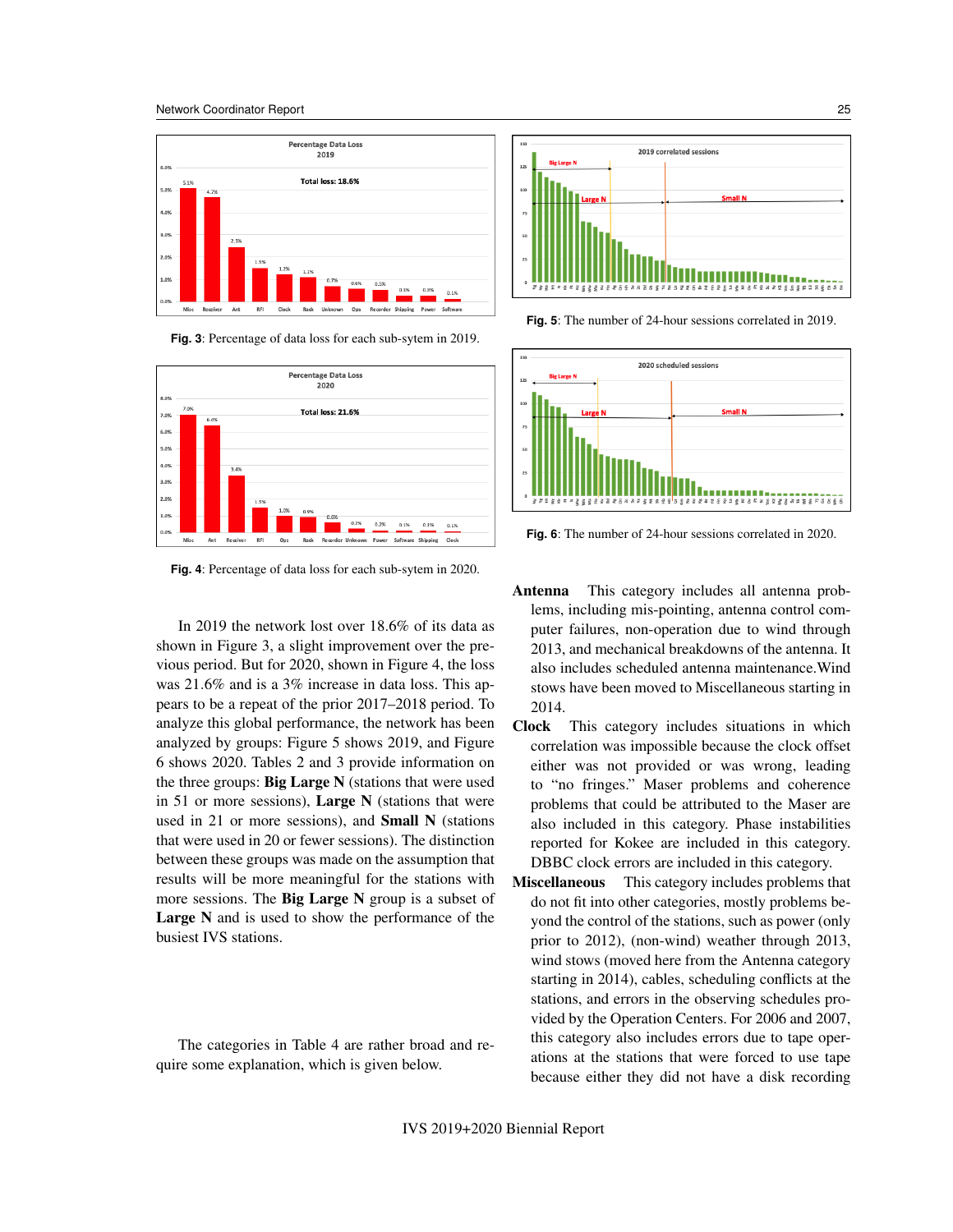

**Fig. 3**: Percentage of data loss for each sub-sytem in 2019.



2019 correlated sessions  $12^{1}$ 

**Fig. 5**: The number of 24-hour sessions correlated in 2019.



**Fig. 6**: The number of 24-hour sessions correlated in 2020.

**Fig. 4**: Percentage of data loss for each sub-sytem in 2020.

In 2019 the network lost over 18.6% of its data as shown in Figure 3, a slight improvement over the previous period. But for 2020, shown in Figure 4, the loss was 21.6% and is a 3% increase in data loss. This appears to be a repeat of the prior 2017–2018 period. To analyze this global performance, the network has been analyzed by groups: Figure 5 shows 2019, and Figure 6 shows 2020. Tables 2 and 3 provide information on the three groups: Big Large N (stations that were used in 51 or more sessions), **Large N** (stations that were used in 21 or more sessions), and Small N (stations that were used in 20 or fewer sessions). The distinction between these groups was made on the assumption that results will be more meaningful for the stations with more sessions. The **Big Large N** group is a subset of Large N and is used to show the performance of the busiest IVS stations.

The categories in Table 4 are rather broad and require some explanation, which is given below.

- Antenna This category includes all antenna problems, including mis-pointing, antenna control computer failures, non-operation due to wind through 2013, and mechanical breakdowns of the antenna. It also includes scheduled antenna maintenance.Wind stows have been moved to Miscellaneous starting in 2014.
- Clock This category includes situations in which correlation was impossible because the clock offset either was not provided or was wrong, leading to "no fringes." Maser problems and coherence problems that could be attributed to the Maser are also included in this category. Phase instabilities reported for Kokee are included in this category. DBBC clock errors are included in this category.
- Miscellaneous This category includes problems that do not fit into other categories, mostly problems beyond the control of the stations, such as power (only prior to 2012), (non-wind) weather through 2013, wind stows (moved here from the Antenna category starting in 2014), cables, scheduling conflicts at the stations, and errors in the observing schedules provided by the Operation Centers. For 2006 and 2007, this category also includes errors due to tape operations at the stations that were forced to use tape because either they did not have a disk recording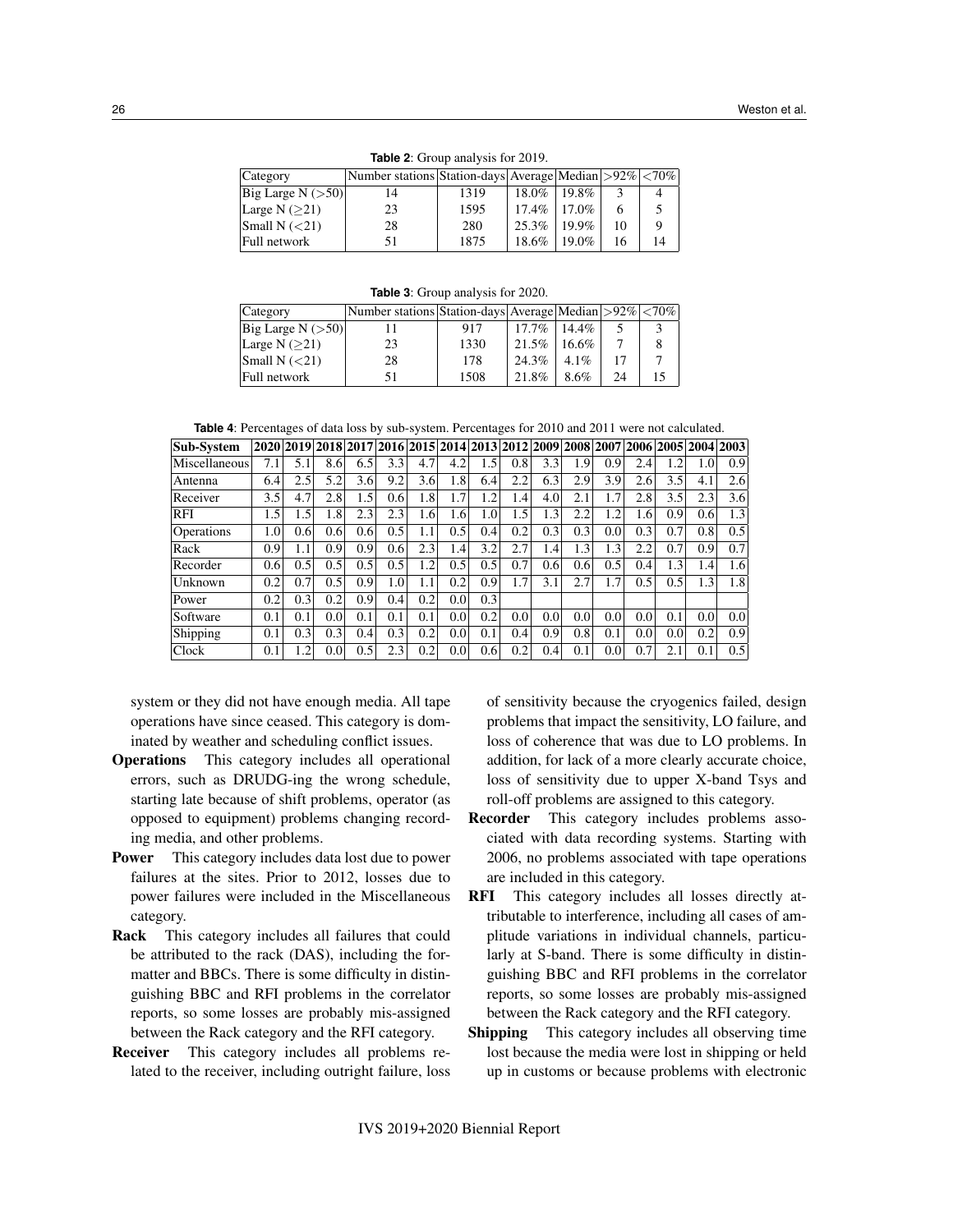| Category                | Number stations Station-days Average Median > 92%   <70% |      |          |          |  |    |  |  |  |  |  |  |
|-------------------------|----------------------------------------------------------|------|----------|----------|--|----|--|--|--|--|--|--|
| $ Big$ Large N $(>50) $ | 14                                                       | 1319 | $18.0\%$ | $19.8\%$ |  |    |  |  |  |  |  |  |
| Large N $(>21)$         | 23                                                       | 1595 | $17.4\%$ | $17.0\%$ |  |    |  |  |  |  |  |  |
| Small N $(\leq 21)$     | 28                                                       | 280  | 25.3%    | $19.9\%$ |  |    |  |  |  |  |  |  |
| Full network            | 51                                                       | 1875 | 18.6%    | $19.0\%$ |  | 14 |  |  |  |  |  |  |

**Table 2**: Group analysis for 2019.

**Table 3**: Group analysis for 2020.

| Category          | Number stations Station-days Average Median   > 92%   < 70% |      |          |          |    |  |
|-------------------|-------------------------------------------------------------|------|----------|----------|----|--|
| Big~Large N (>50) |                                                             | 917  | $17.7\%$ | $14.4\%$ |    |  |
| Large N $(>21)$   | 23                                                          | 1330 | 21.5%    | 16.6%    |    |  |
| Small N $(<21)$   | 28                                                          | 178  | 24.3%    | $4.1\%$  |    |  |
| Full network      |                                                             | 1508 | 21.8%    | 8.6%     | 24 |  |

**Table 4**: Percentages of data loss by sub-system. Percentages for 2010 and 2011 were not calculated.

| Sub-System    | 2020 |               |     |     | 2019 2018 2017 2016 2015 2014 2013 2012 2009 2008 2007 |     |     |         |     |     |               |         |     |           | 2006 2005 2004 2003 |     |
|---------------|------|---------------|-----|-----|--------------------------------------------------------|-----|-----|---------|-----|-----|---------------|---------|-----|-----------|---------------------|-----|
| Miscellaneous | 7.1  | 5.1           | 8.6 | 6.5 | 3.3                                                    | 4.7 | 4.2 | .5      | 0.8 | 3.3 | .9            | 0.9     | 2.4 | $\cdot$   | 1.0                 | 0.9 |
| Antenna       | 6.4  | 2.5           | 5.2 | 3.6 | 9.2                                                    | 3.6 | 1.8 | 6.4     | 2.2 | 6.3 | 2.9           | 3.9     | 2.6 | 3.5       | 4.1                 | 2.6 |
| Receiver      | 3.5  | 4.7           | 2.8 | 1.5 | 0.6                                                    | 1.8 | 1.7 | $\cdot$ | 1.4 | 4.0 | 2.1           |         | 2.8 | 3.5       | 2.3                 | 3.6 |
| RFI           | 1.5  | .5            | 1.8 | 2.3 | 2.3                                                    | 1.6 | 1.6 | 1.0     | 1.5 | 1.3 | 2.2           | $\cdot$ | 1.6 | 0.9       | 0.6                 | 1.3 |
| Operations    | 1.0  | $0.6^{\circ}$ | 0.6 | 0.6 | 0.5                                                    |     | 0.5 | 0.4     | 0.2 | 0.3 | 0.3           | 0.0     | 0.3 | 0.7       | 0.8                 | 0.5 |
| Rack          | 0.9  |               | 0.9 | 0.9 | 0.6                                                    | 2.3 | 1.4 | 3.2     | 2.7 | 1.4 | 1.3           | 1.3     | 2.2 | 0.7       | 0.9                 | 0.7 |
| Recorder      | 0.6  | 0.5           | 0.5 | 0.5 | 0.5                                                    | 1.2 | 0.5 | 0.5     | 0.7 | 0.6 | 0.6           | 0.5     | 0.4 | $1.3^{+}$ | 1.4                 | 1.6 |
| Unknown       | 0.2  | 0.7           | 0.5 | 0.9 | 1.0                                                    | 1.1 | 0.2 | 0.9     | 1.7 | 3.1 | 2.7           |         | 0.5 | 0.5       | $\cdot$ 3           | 1.8 |
| Power         | 0.2  | 0.3           | 0.2 | 0.9 | 0.4                                                    | 0.2 | 0.0 | 0.3     |     |     |               |         |     |           |                     |     |
| Software      | 0.1  | 0.1           | 0.0 | 0.1 | 0.1                                                    | 0.1 | 0.0 | 0.2     | 0.0 | 0.0 | $0.0^{\circ}$ | 0.0     | 0.0 | 0.1       | 0.0                 | 0.0 |
| Shipping      | 0.1  | 0.3           | 0.3 | 0.4 | 0.3                                                    | 0.2 | 0.0 | 0.1     | 0.4 | 0.9 | 0.8           | 0.1     | 0.0 | 0.0       | 0.2                 | 0.9 |
| Clock         | 0.1  | $\cdot$       | 0.0 | 0.5 | 2.3                                                    | 0.2 | 0.0 | 0.6     | 0.2 | 0.4 | 0.1           | 0.0     | 0.2 | 2.1       | 0.1                 | 0.5 |

system or they did not have enough media. All tape operations have since ceased. This category is dominated by weather and scheduling conflict issues.

- Operations This category includes all operational errors, such as DRUDG-ing the wrong schedule, starting late because of shift problems, operator (as opposed to equipment) problems changing recording media, and other problems.
- **Power** This category includes data lost due to power failures at the sites. Prior to 2012, losses due to power failures were included in the Miscellaneous category.
- Rack This category includes all failures that could be attributed to the rack (DAS), including the formatter and BBCs. There is some difficulty in distinguishing BBC and RFI problems in the correlator reports, so some losses are probably mis-assigned between the Rack category and the RFI category.
- Receiver This category includes all problems related to the receiver, including outright failure, loss

of sensitivity because the cryogenics failed, design problems that impact the sensitivity, LO failure, and loss of coherence that was due to LO problems. In addition, for lack of a more clearly accurate choice, loss of sensitivity due to upper X-band Tsys and roll-off problems are assigned to this category.

- Recorder This category includes problems associated with data recording systems. Starting with 2006, no problems associated with tape operations are included in this category.
- RFI This category includes all losses directly attributable to interference, including all cases of amplitude variations in individual channels, particularly at S-band. There is some difficulty in distinguishing BBC and RFI problems in the correlator reports, so some losses are probably mis-assigned between the Rack category and the RFI category.
- Shipping This category includes all observing time lost because the media were lost in shipping or held up in customs or because problems with electronic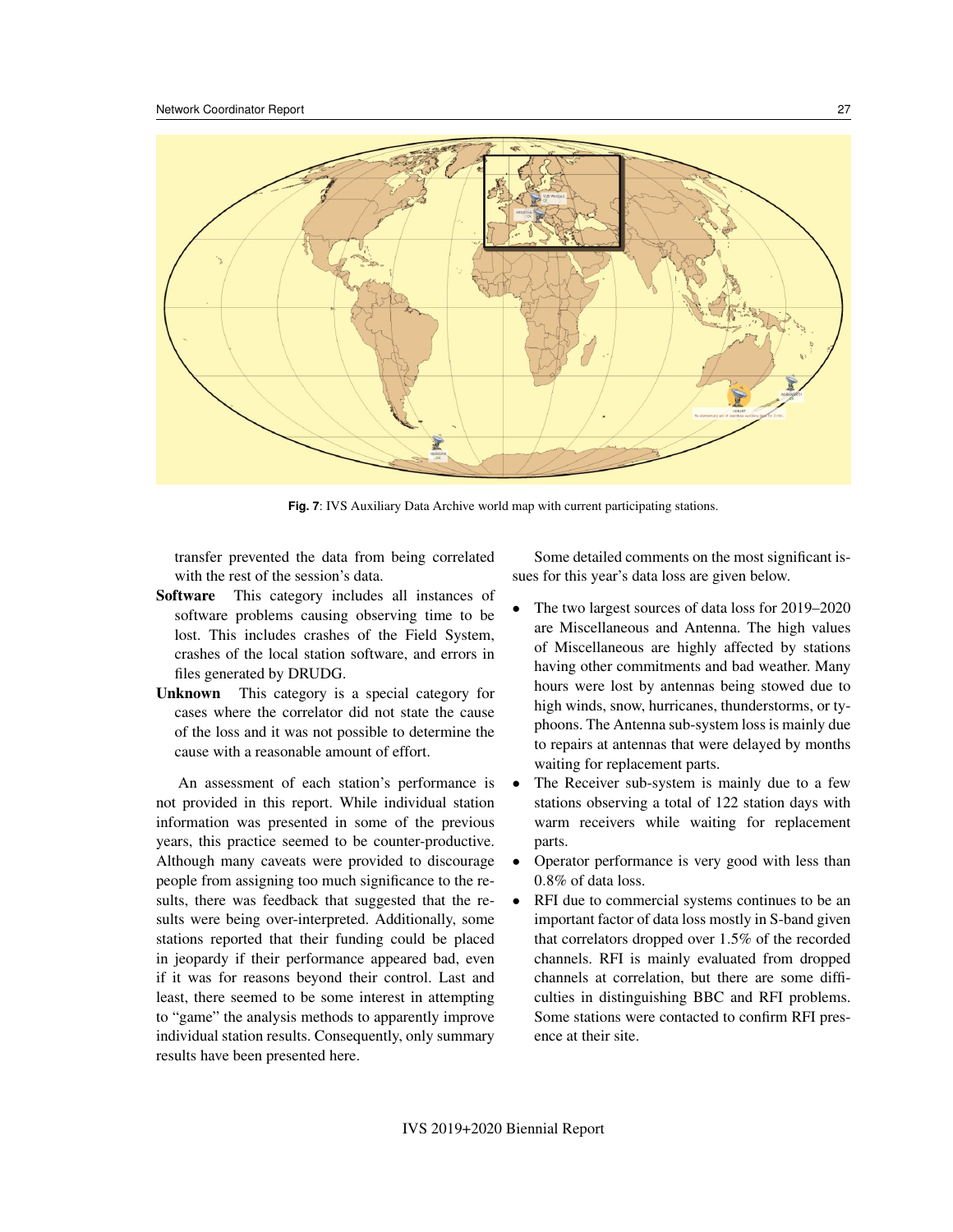

**Fig. 7**: IVS Auxiliary Data Archive world map with current participating stations.

transfer prevented the data from being correlated with the rest of the session's data.

- Software This category includes all instances of software problems causing observing time to be lost. This includes crashes of the Field System, crashes of the local station software, and errors in files generated by DRUDG.
- Unknown This category is a special category for cases where the correlator did not state the cause of the loss and it was not possible to determine the cause with a reasonable amount of effort.

An assessment of each station's performance is not provided in this report. While individual station information was presented in some of the previous years, this practice seemed to be counter-productive. Although many caveats were provided to discourage people from assigning too much significance to the results, there was feedback that suggested that the results were being over-interpreted. Additionally, some stations reported that their funding could be placed in jeopardy if their performance appeared bad, even if it was for reasons beyond their control. Last and least, there seemed to be some interest in attempting to "game" the analysis methods to apparently improve individual station results. Consequently, only summary results have been presented here.

Some detailed comments on the most significant issues for this year's data loss are given below.

- The two largest sources of data loss for 2019–2020 are Miscellaneous and Antenna. The high values of Miscellaneous are highly affected by stations having other commitments and bad weather. Many hours were lost by antennas being stowed due to high winds, snow, hurricanes, thunderstorms, or typhoons. The Antenna sub-system loss is mainly due to repairs at antennas that were delayed by months waiting for replacement parts.
- The Receiver sub-system is mainly due to a few stations observing a total of 122 station days with warm receivers while waiting for replacement parts.
- Operator performance is very good with less than 0.8% of data loss.
- RFI due to commercial systems continues to be an important factor of data loss mostly in S-band given that correlators dropped over 1.5% of the recorded channels. RFI is mainly evaluated from dropped channels at correlation, but there are some difficulties in distinguishing BBC and RFI problems. Some stations were contacted to confirm RFI presence at their site.